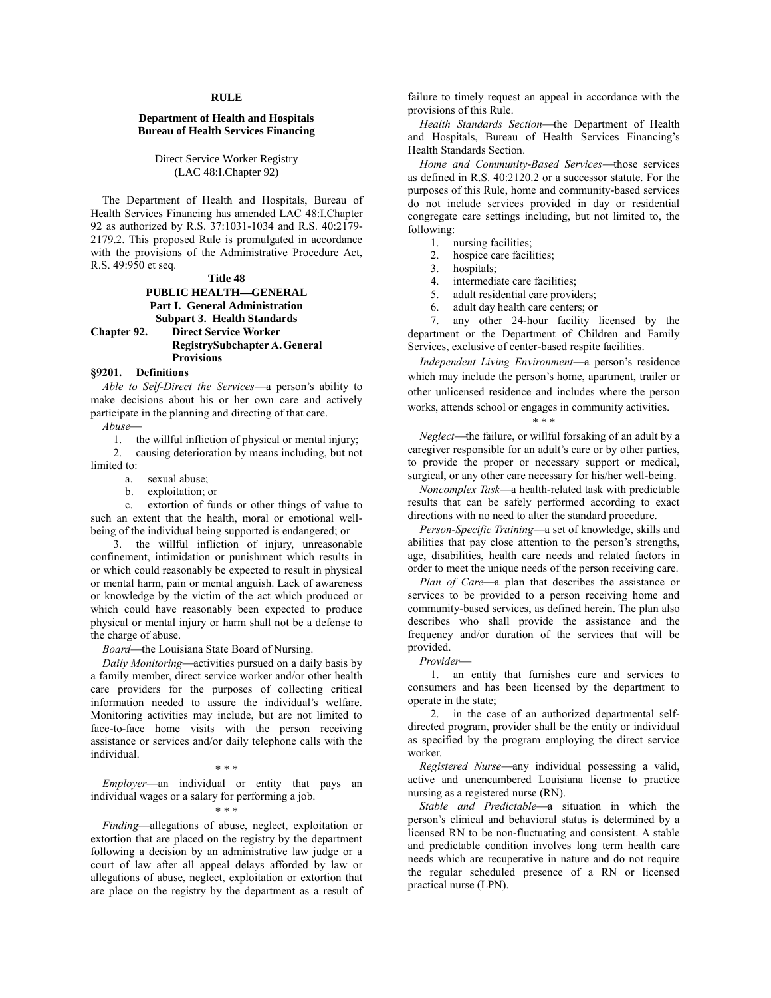#### **RULE**

## **Department of Health and Hospitals Bureau of Health Services Financing**

Direct Service Worker Registry (LAC 48:I.Chapter 92)

The Department of Health and Hospitals, Bureau of Health Services Financing has amended LAC 48:I.Chapter 92 as authorized by R.S. 37:1031-1034 and R.S. 40:2179- 2179.2. This proposed Rule is promulgated in accordance with the provisions of the Administrative Procedure Act, R.S. 49:950 et seq.

## **Title 48 PUBLIC HEALTH-GENERAL Part I. General Administration Subpart 3. Health Standards Chapter 92. Direct Service Worker RegistrySubchapter A.General Provisions**

## **§9201. Definitions**

*Able to Self-Direct the Services*—a person's ability to make decisions about his or her own care and actively participate in the planning and directing of that care.

*Abuse*

1. the willful infliction of physical or mental injury;

2. causing deterioration by means including, but not limited to:

a. sexual abuse;

b. exploitation; or

c. extortion of funds or other things of value to such an extent that the health, moral or emotional wellbeing of the individual being supported is endangered; or

3. the willful infliction of injury, unreasonable confinement, intimidation or punishment which results in or which could reasonably be expected to result in physical or mental harm, pain or mental anguish. Lack of awareness or knowledge by the victim of the act which produced or which could have reasonably been expected to produce physical or mental injury or harm shall not be a defense to the charge of abuse.

*Board*—the Louisiana State Board of Nursing.

*Daily Monitoring*—activities pursued on a daily basis by a family member, direct service worker and/or other health care providers for the purposes of collecting critical information needed to assure the individual's welfare. Monitoring activities may include, but are not limited to face-to-face home visits with the person receiving assistance or services and/or daily telephone calls with the individual.

#### \* \* \*

*Employer*—an individual or entity that pays an individual wages or a salary for performing a job.

## \* \* \*

*Finding*—allegations of abuse, neglect, exploitation or extortion that are placed on the registry by the department following a decision by an administrative law judge or a court of law after all appeal delays afforded by law or allegations of abuse, neglect, exploitation or extortion that are place on the registry by the department as a result of

failure to timely request an appeal in accordance with the provisions of this Rule.

Health Standards Section-the Department of Health and Hospitals, Bureau of Health Services Financing's Health Standards Section.

*Home and Community-Based Services*—those services as defined in R.S. 40:2120.2 or a successor statute. For the purposes of this Rule, home and community-based services do not include services provided in day or residential congregate care settings including, but not limited to, the following:

- 1. nursing facilities;
- 2. hospice care facilities;
- 3. hospitals;
- 4. intermediate care facilities;<br>5. adult residential care provide
- adult residential care providers;
- 6. adult day health care centers; or

7. any other 24-hour facility licensed by the department or the Department of Children and Family Services, exclusive of center-based respite facilities.

*Independent Living Environment*—a person's residence which may include the person's home, apartment, trailer or other unlicensed residence and includes where the person works, attends school or engages in community activities.

### \* \* \*

*Neglect*—the failure, or willful forsaking of an adult by a caregiver responsible for an adult's care or by other parties, to provide the proper or necessary support or medical, surgical, or any other care necessary for his/her well-being.

*Noncomplex Task*—a health-related task with predictable results that can be safely performed according to exact directions with no need to alter the standard procedure.

*Person-Specific Training*—a set of knowledge, skills and abilities that pay close attention to the person's strengths, age, disabilities, health care needs and related factors in order to meet the unique needs of the person receiving care.

*Plan of Care*—a plan that describes the assistance or services to be provided to a person receiving home and community-based services, as defined herein. The plan also describes who shall provide the assistance and the frequency and/or duration of the services that will be provided.

#### *Provider*

1. an entity that furnishes care and services to consumers and has been licensed by the department to operate in the state;

2. in the case of an authorized departmental selfdirected program, provider shall be the entity or individual as specified by the program employing the direct service worker.

*Registered Nurse*—any individual possessing a valid, active and unencumbered Louisiana license to practice nursing as a registered nurse (RN).

Stable and Predictable-a situation in which the person's clinical and behavioral status is determined by a licensed RN to be non-fluctuating and consistent. A stable and predictable condition involves long term health care needs which are recuperative in nature and do not require the regular scheduled presence of a RN or licensed practical nurse (LPN).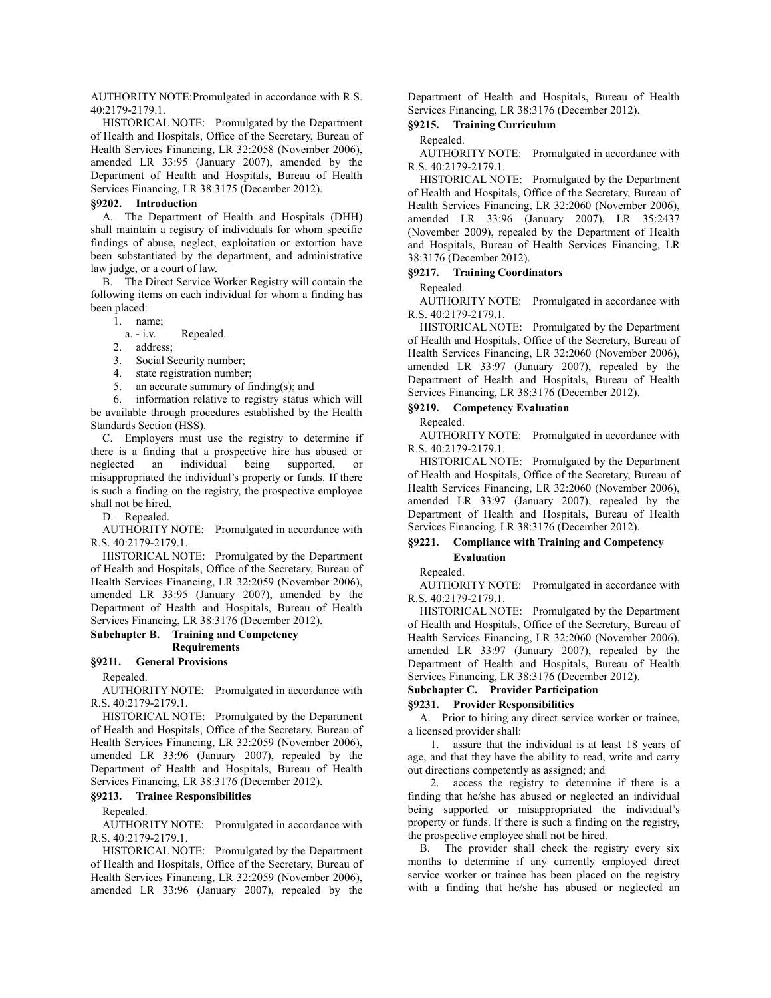AUTHORITY NOTE:Promulgated in accordance with R.S. 40:2179-2179.1.

HISTORICAL NOTE: Promulgated by the Department of Health and Hospitals, Office of the Secretary, Bureau of Health Services Financing, LR 32:2058 (November 2006), amended LR 33:95 (January 2007), amended by the Department of Health and Hospitals, Bureau of Health Services Financing, LR 38:3175 (December 2012).

#### **§9202. Introduction**

A. The Department of Health and Hospitals (DHH) shall maintain a registry of individuals for whom specific findings of abuse, neglect, exploitation or extortion have been substantiated by the department, and administrative law judge, or a court of law.

B. The Direct Service Worker Registry will contain the following items on each individual for whom a finding has been placed:

1. name;

a. - i.v. Repealed.

2. address;

3. Social Security number;

- 4. state registration number;
- 5. an accurate summary of finding(s); and

6. information relative to registry status which will be available through procedures established by the Health Standards Section (HSS).

C. Employers must use the registry to determine if there is a finding that a prospective hire has abused or neglected an individual being supported, or misappropriated the individual's property or funds. If there is such a finding on the registry, the prospective employee shall not be hired.

D. Repealed.

AUTHORITY NOTE: Promulgated in accordance with R.S. 40:2179-2179.1.

HISTORICAL NOTE: Promulgated by the Department of Health and Hospitals, Office of the Secretary, Bureau of Health Services Financing, LR 32:2059 (November 2006), amended LR 33:95 (January 2007), amended by the Department of Health and Hospitals, Bureau of Health Services Financing, LR 38:3176 (December 2012).

### **Subchapter B. Training and Competency Requirements**

#### **§9211. General Provisions**

Repealed.

AUTHORITY NOTE: Promulgated in accordance with R.S. 40:2179-2179.1.

HISTORICAL NOTE: Promulgated by the Department of Health and Hospitals, Office of the Secretary, Bureau of Health Services Financing, LR 32:2059 (November 2006), amended LR 33:96 (January 2007), repealed by the Department of Health and Hospitals, Bureau of Health Services Financing, LR 38:3176 (December 2012).

### **§9213. Trainee Responsibilities**

Repealed.

AUTHORITY NOTE: Promulgated in accordance with R.S. 40:2179-2179.1.

HISTORICAL NOTE: Promulgated by the Department of Health and Hospitals, Office of the Secretary, Bureau of Health Services Financing, LR 32:2059 (November 2006), amended LR 33:96 (January 2007), repealed by the Department of Health and Hospitals, Bureau of Health Services Financing, LR 38:3176 (December 2012).

# **§9215. Training Curriculum**

### Repealed.

AUTHORITY NOTE: Promulgated in accordance with R.S. 40:2179-2179.1.

HISTORICAL NOTE: Promulgated by the Department of Health and Hospitals, Office of the Secretary, Bureau of Health Services Financing, LR 32:2060 (November 2006), amended LR 33:96 (January 2007), LR 35:2437 (November 2009), repealed by the Department of Health and Hospitals, Bureau of Health Services Financing, LR 38:3176 (December 2012).

### **§9217. Training Coordinators**

#### Repealed.

AUTHORITY NOTE: Promulgated in accordance with R.S. 40:2179-2179.1.

HISTORICAL NOTE: Promulgated by the Department of Health and Hospitals, Office of the Secretary, Bureau of Health Services Financing, LR 32:2060 (November 2006), amended LR 33:97 (January 2007), repealed by the Department of Health and Hospitals, Bureau of Health Services Financing, LR 38:3176 (December 2012).

### **§9219. Competency Evaluation**

Repealed.

AUTHORITY NOTE: Promulgated in accordance with R.S. 40:2179-2179.1.

HISTORICAL NOTE: Promulgated by the Department of Health and Hospitals, Office of the Secretary, Bureau of Health Services Financing, LR 32:2060 (November 2006), amended LR 33:97 (January 2007), repealed by the Department of Health and Hospitals, Bureau of Health Services Financing, LR 38:3176 (December 2012).

# **§9221. Compliance with Training and Competency Evaluation**

Repealed.

AUTHORITY NOTE: Promulgated in accordance with R.S. 40:2179-2179.1.

HISTORICAL NOTE: Promulgated by the Department of Health and Hospitals, Office of the Secretary, Bureau of Health Services Financing, LR 32:2060 (November 2006), amended LR 33:97 (January 2007), repealed by the Department of Health and Hospitals, Bureau of Health Services Financing, LR 38:3176 (December 2012).

# **Subchapter C. Provider Participation**

## **§9231. Provider Responsibilities**

A. Prior to hiring any direct service worker or trainee, a licensed provider shall:

1. assure that the individual is at least 18 years of age, and that they have the ability to read, write and carry out directions competently as assigned; and

2. access the registry to determine if there is a finding that he/she has abused or neglected an individual being supported or misappropriated the individual's property or funds. If there is such a finding on the registry, the prospective employee shall not be hired.

B. The provider shall check the registry every six months to determine if any currently employed direct service worker or trainee has been placed on the registry with a finding that he/she has abused or neglected an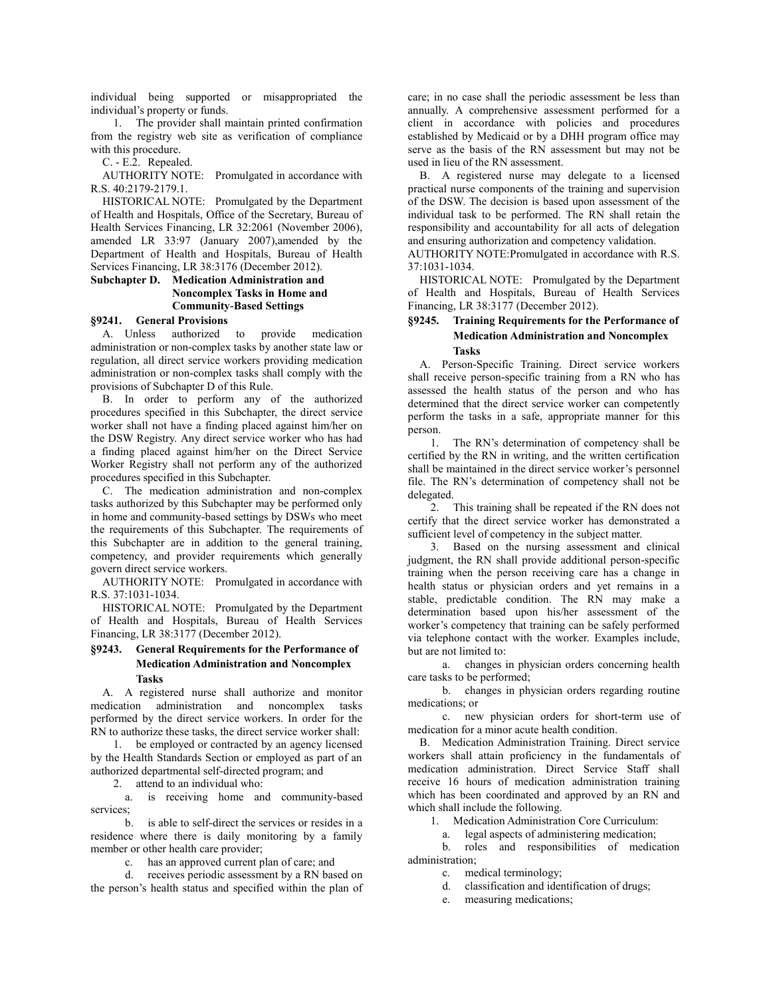individual being supported or misappropriated the individual's property or funds.

1. The provider shall maintain printed confirmation from the registry web site as verification of compliance with this procedure.

C. - E.2. Repealed.

AUTHORITY NOTE: Promulgated in accordance with R.S. 40:2179-2179.1.

HISTORICAL NOTE: Promulgated by the Department of Health and Hospitals, Office of the Secretary, Bureau of Health Services Financing, LR 32:2061 (November 2006), amended LR 33:97 (January 2007),amended by the Department of Health and Hospitals, Bureau of Health Services Financing, LR 38:3176 (December 2012).

# **Subchapter D. Medication Administration and Noncomplex Tasks in Home and Community-Based Settings**

# **§9241. General Provisions**

A. Unless authorized to provide medication administration or non-complex tasks by another state law or regulation, all direct service workers providing medication administration or non-complex tasks shall comply with the provisions of Subchapter D of this Rule.

B. In order to perform any of the authorized procedures specified in this Subchapter, the direct service worker shall not have a finding placed against him/her on the DSW Registry. Any direct service worker who has had a finding placed against him/her on the Direct Service Worker Registry shall not perform any of the authorized procedures specified in this Subchapter.

C. The medication administration and non-complex tasks authorized by this Subchapter may be performed only in home and community-based settings by DSWs who meet the requirements of this Subchapter. The requirements of this Subchapter are in addition to the general training, competency, and provider requirements which generally govern direct service workers.

AUTHORITY NOTE: Promulgated in accordance with R.S. 37:1031-1034.

HISTORICAL NOTE: Promulgated by the Department of Health and Hospitals, Bureau of Health Services Financing, LR 38:3177 (December 2012).

# **§9243. General Requirements for the Performance of Medication Administration and Noncomplex Tasks**

A. A registered nurse shall authorize and monitor medication administration and noncomplex tasks performed by the direct service workers. In order for the RN to authorize these tasks, the direct service worker shall:

1. be employed or contracted by an agency licensed by the Health Standards Section or employed as part of an authorized departmental self-directed program; and

2. attend to an individual who:

a. is receiving home and community-based services;

b. is able to self-direct the services or resides in a residence where there is daily monitoring by a family member or other health care provider;

c. has an approved current plan of care; and

d. receives periodic assessment by a RN based on the person's health status and specified within the plan of care; in no case shall the periodic assessment be less than annually. A comprehensive assessment performed for a client in accordance with policies and procedures established by Medicaid or by a DHH program office may serve as the basis of the RN assessment but may not be used in lieu of the RN assessment.

B. A registered nurse may delegate to a licensed practical nurse components of the training and supervision of the DSW. The decision is based upon assessment of the individual task to be performed. The RN shall retain the responsibility and accountability for all acts of delegation and ensuring authorization and competency validation.

AUTHORITY NOTE:Promulgated in accordance with R.S. 37:1031-1034.

HISTORICAL NOTE: Promulgated by the Department of Health and Hospitals, Bureau of Health Services Financing, LR 38:3177 (December 2012).

# **§9245. Training Requirements for the Performance of Medication Administration and Noncomplex Tasks**

A. Person-Specific Training. Direct service workers shall receive person-specific training from a RN who has assessed the health status of the person and who has determined that the direct service worker can competently perform the tasks in a safe, appropriate manner for this person.

1. The RN's determination of competency shall be certified by the RN in writing, and the written certification shall be maintained in the direct service worker's personnel file. The RN's determination of competency shall not be delegated.

2. This training shall be repeated if the RN does not certify that the direct service worker has demonstrated a sufficient level of competency in the subject matter.

3. Based on the nursing assessment and clinical judgment, the RN shall provide additional person-specific training when the person receiving care has a change in health status or physician orders and yet remains in a stable, predictable condition. The RN may make a determination based upon his/her assessment of the worker's competency that training can be safely performed via telephone contact with the worker. Examples include, but are not limited to:

a. changes in physician orders concerning health care tasks to be performed;

b. changes in physician orders regarding routine medications; or

c. new physician orders for short-term use of medication for a minor acute health condition.

B. Medication Administration Training. Direct service workers shall attain proficiency in the fundamentals of medication administration. Direct Service Staff shall receive 16 hours of medication administration training which has been coordinated and approved by an RN and which shall include the following.

1. Medication Administration Core Curriculum:

a. legal aspects of administering medication;

b. roles and responsibilities of medication administration;

c. medical terminology;

d. classification and identification of drugs;

e. measuring medications;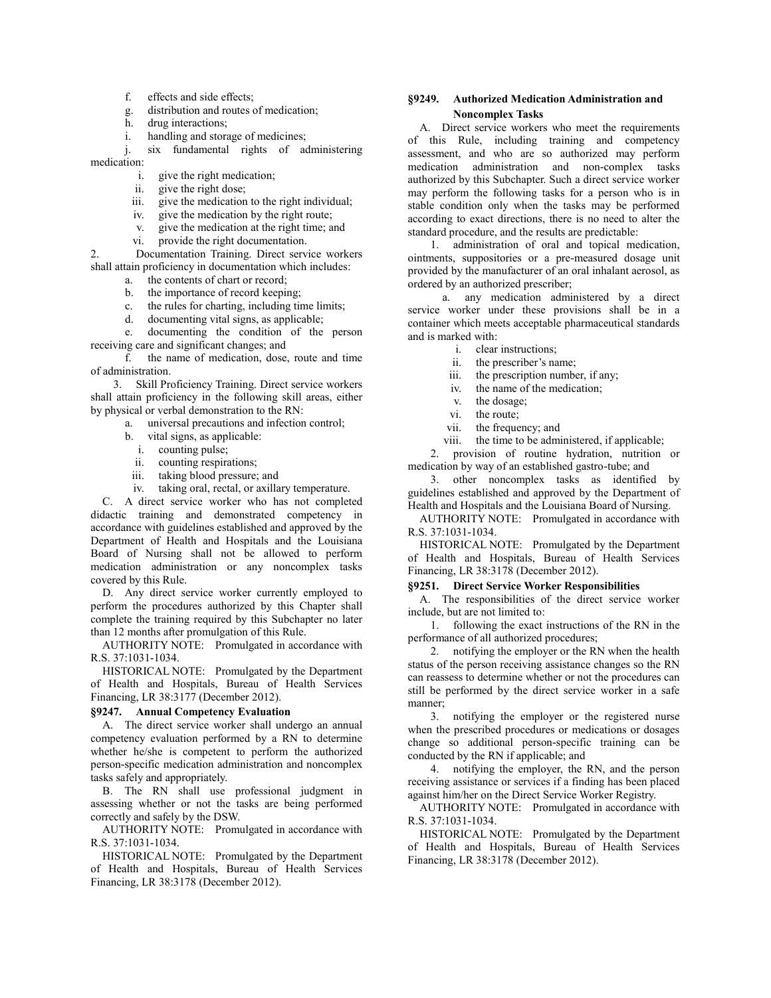- f. effects and side effects;
- g. distribution and routes of medication;
- h. drug interactions;
- i. handling and storage of medicines;

j. six fundamental rights of administering medication:

- i. give the right medication;
- ii. give the right dose;
- iii. give the medication to the right individual;
- iv. give the medication by the right route;
- v. give the medication at the right time; and
- vi. provide the right documentation.

2. Documentation Training. Direct service workers shall attain proficiency in documentation which includes:

- a. the contents of chart or record;
- b. the importance of record keeping;
- c. the rules for charting, including time limits;
- d. documenting vital signs, as applicable;

e. documenting the condition of the person receiving care and significant changes; and

f. the name of medication, dose, route and time of administration.

3. Skill Proficiency Training. Direct service workers shall attain proficiency in the following skill areas, either by physical or verbal demonstration to the RN:

- a. universal precautions and infection control;
- b. vital signs, as applicable:
	- i. counting pulse;
	- ii. counting respirations;
- iii. taking blood pressure; and
- iv. taking oral, rectal, or axillary temperature.

C. A direct service worker who has not completed didactic training and demonstrated competency in accordance with guidelines established and approved by the Department of Health and Hospitals and the Louisiana Board of Nursing shall not be allowed to perform medication administration or any noncomplex tasks covered by this Rule.

D. Any direct service worker currently employed to perform the procedures authorized by this Chapter shall complete the training required by this Subchapter no later than 12 months after promulgation of this Rule.

AUTHORITY NOTE: Promulgated in accordance with R.S. 37:1031-1034.

HISTORICAL NOTE: Promulgated by the Department of Health and Hospitals, Bureau of Health Services Financing, LR 38:3177 (December 2012).

#### **§9247. Annual Competency Evaluation**

A. The direct service worker shall undergo an annual competency evaluation performed by a RN to determine whether he/she is competent to perform the authorized person-specific medication administration and noncomplex tasks safely and appropriately.

B. The RN shall use professional judgment in assessing whether or not the tasks are being performed correctly and safely by the DSW.

AUTHORITY NOTE: Promulgated in accordance with R.S. 37:1031-1034.

HISTORICAL NOTE: Promulgated by the Department of Health and Hospitals, Bureau of Health Services Financing, LR 38:3178 (December 2012).

# **§9249. Authorized Medication Administration and Noncomplex Tasks**

A. Direct service workers who meet the requirements of this Rule, including training and competency assessment, and who are so authorized may perform medication administration and non-complex tasks authorized by this Subchapter. Such a direct service worker may perform the following tasks for a person who is in stable condition only when the tasks may be performed according to exact directions, there is no need to alter the standard procedure, and the results are predictable:

1. administration of oral and topical medication, ointments, suppositories or a pre-measured dosage unit provided by the manufacturer of an oral inhalant aerosol, as ordered by an authorized prescriber;

a. any medication administered by a direct service worker under these provisions shall be in a container which meets acceptable pharmaceutical standards and is marked with:

- i. clear instructions;
- ii. the prescriber's name;
- iii. the prescription number, if any;
- iv. the name of the medication;
- v. the dosage;<br>vi. the route:
- the route:
- vii. the frequency; and
- viii. the time to be administered, if applicable;

2. provision of routine hydration, nutrition or medication by way of an established gastro-tube; and

3. other noncomplex tasks as identified by guidelines established and approved by the Department of Health and Hospitals and the Louisiana Board of Nursing.

AUTHORITY NOTE: Promulgated in accordance with R.S. 37:1031-1034.

HISTORICAL NOTE: Promulgated by the Department of Health and Hospitals, Bureau of Health Services Financing, LR 38:3178 (December 2012).

### **§9251. Direct Service Worker Responsibilities**

A. The responsibilities of the direct service worker include, but are not limited to:

1. following the exact instructions of the RN in the performance of all authorized procedures;

2. notifying the employer or the RN when the health status of the person receiving assistance changes so the RN can reassess to determine whether or not the procedures can still be performed by the direct service worker in a safe manner;

3. notifying the employer or the registered nurse when the prescribed procedures or medications or dosages change so additional person-specific training can be conducted by the RN if applicable; and

4. notifying the employer, the RN, and the person receiving assistance or services if a finding has been placed against him/her on the Direct Service Worker Registry.

AUTHORITY NOTE: Promulgated in accordance with R.S. 37:1031-1034.

HISTORICAL NOTE: Promulgated by the Department of Health and Hospitals, Bureau of Health Services Financing, LR 38:3178 (December 2012).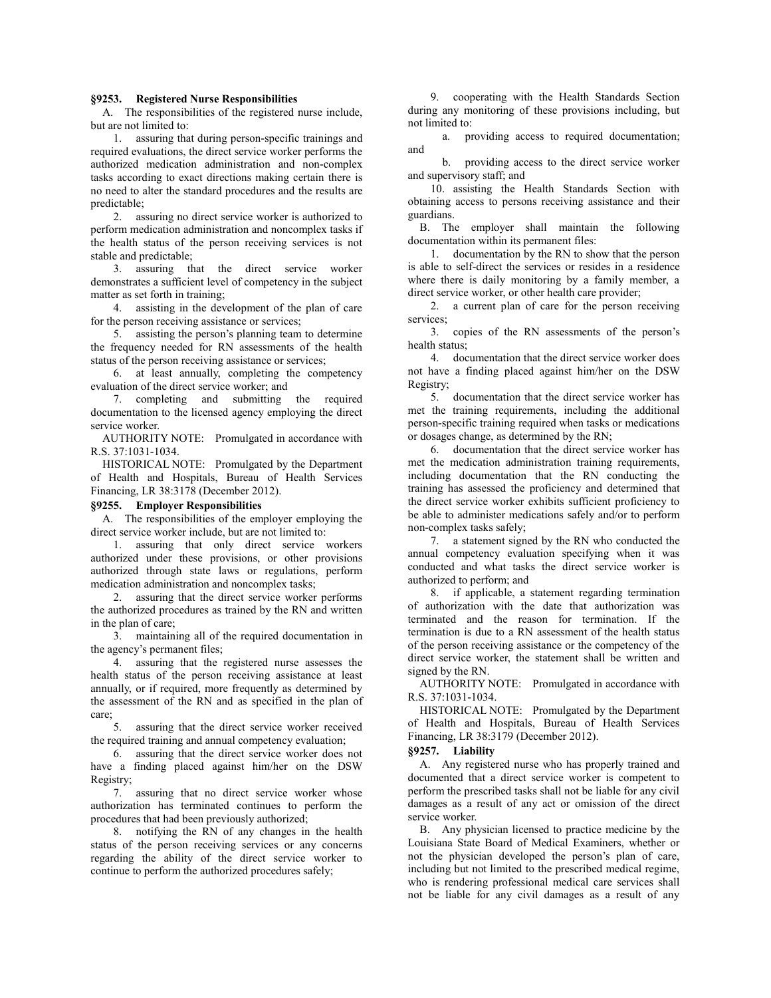#### **§9253. Registered Nurse Responsibilities**

A. The responsibilities of the registered nurse include, but are not limited to:

1. assuring that during person-specific trainings and required evaluations, the direct service worker performs the authorized medication administration and non-complex tasks according to exact directions making certain there is no need to alter the standard procedures and the results are predictable;

2. assuring no direct service worker is authorized to perform medication administration and noncomplex tasks if the health status of the person receiving services is not stable and predictable;

3. assuring that the direct service worker demonstrates a sufficient level of competency in the subject matter as set forth in training;

4. assisting in the development of the plan of care for the person receiving assistance or services;

5. assisting the person's planning team to determine the frequency needed for RN assessments of the health status of the person receiving assistance or services;

6. at least annually, completing the competency evaluation of the direct service worker; and

7. completing and submitting the required documentation to the licensed agency employing the direct service worker.

AUTHORITY NOTE: Promulgated in accordance with R.S. 37:1031-1034.

HISTORICAL NOTE: Promulgated by the Department of Health and Hospitals, Bureau of Health Services Financing, LR 38:3178 (December 2012).

#### **§9255. Employer Responsibilities**

A. The responsibilities of the employer employing the direct service worker include, but are not limited to:

1. assuring that only direct service workers authorized under these provisions, or other provisions authorized through state laws or regulations, perform medication administration and noncomplex tasks;

2. assuring that the direct service worker performs the authorized procedures as trained by the RN and written in the plan of care;

3. maintaining all of the required documentation in the agency's permanent files;

4. assuring that the registered nurse assesses the health status of the person receiving assistance at least annually, or if required, more frequently as determined by the assessment of the RN and as specified in the plan of care;

5. assuring that the direct service worker received the required training and annual competency evaluation;

6. assuring that the direct service worker does not have a finding placed against him/her on the DSW Registry;

7. assuring that no direct service worker whose authorization has terminated continues to perform the procedures that had been previously authorized;

8. notifying the RN of any changes in the health status of the person receiving services or any concerns regarding the ability of the direct service worker to continue to perform the authorized procedures safely;

9. cooperating with the Health Standards Section during any monitoring of these provisions including, but not limited to:

a. providing access to required documentation; and

b. providing access to the direct service worker and supervisory staff; and

10. assisting the Health Standards Section with obtaining access to persons receiving assistance and their guardians.

B. The employer shall maintain the following documentation within its permanent files:

1. documentation by the RN to show that the person is able to self-direct the services or resides in a residence where there is daily monitoring by a family member, a direct service worker, or other health care provider;

2. a current plan of care for the person receiving services;

3. copies of the RN assessments of the person's health status;

4. documentation that the direct service worker does not have a finding placed against him/her on the DSW Registry;

5. documentation that the direct service worker has met the training requirements, including the additional person-specific training required when tasks or medications or dosages change, as determined by the RN;

6. documentation that the direct service worker has met the medication administration training requirements, including documentation that the RN conducting the training has assessed the proficiency and determined that the direct service worker exhibits sufficient proficiency to be able to administer medications safely and/or to perform non-complex tasks safely;

7. a statement signed by the RN who conducted the annual competency evaluation specifying when it was conducted and what tasks the direct service worker is authorized to perform; and

8. if applicable, a statement regarding termination of authorization with the date that authorization was terminated and the reason for termination. If the termination is due to a RN assessment of the health status of the person receiving assistance or the competency of the direct service worker, the statement shall be written and signed by the RN.

AUTHORITY NOTE: Promulgated in accordance with R.S. 37:1031-1034.

HISTORICAL NOTE: Promulgated by the Department of Health and Hospitals, Bureau of Health Services Financing, LR 38:3179 (December 2012).

#### **§9257. Liability**

A. Any registered nurse who has properly trained and documented that a direct service worker is competent to perform the prescribed tasks shall not be liable for any civil damages as a result of any act or omission of the direct service worker.

B. Any physician licensed to practice medicine by the Louisiana State Board of Medical Examiners, whether or not the physician developed the person's plan of care, including but not limited to the prescribed medical regime, who is rendering professional medical care services shall not be liable for any civil damages as a result of any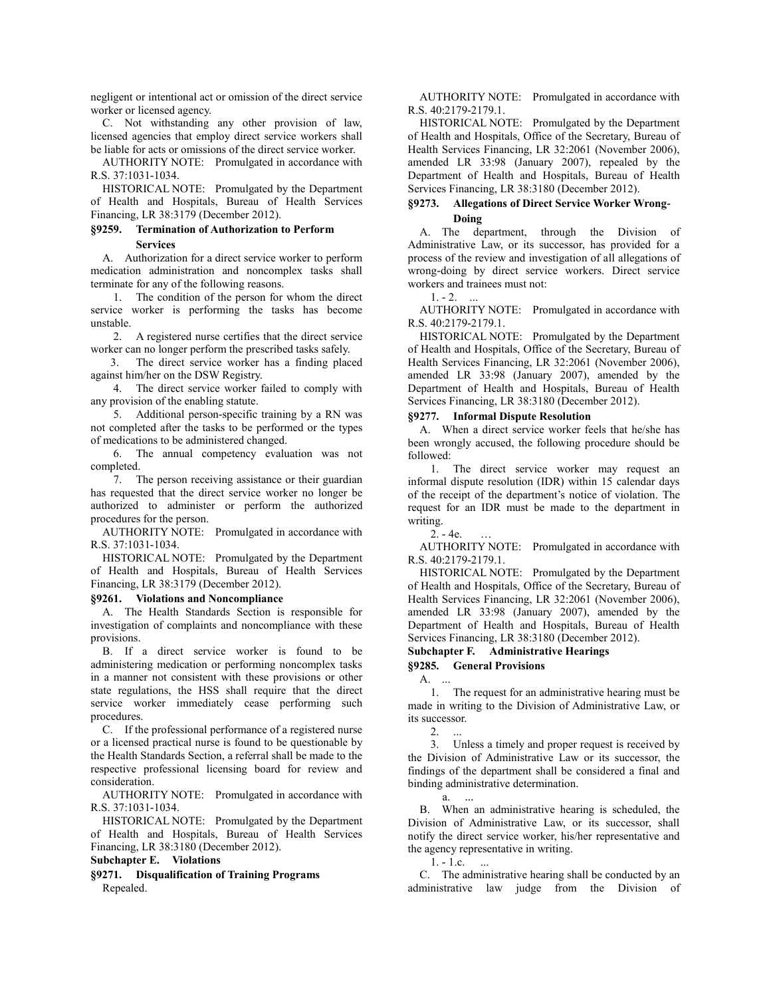negligent or intentional act or omission of the direct service worker or licensed agency.

C. Not withstanding any other provision of law, licensed agencies that employ direct service workers shall be liable for acts or omissions of the direct service worker.

AUTHORITY NOTE: Promulgated in accordance with R.S. 37:1031-1034.

HISTORICAL NOTE: Promulgated by the Department of Health and Hospitals, Bureau of Health Services Financing, LR 38:3179 (December 2012).

# **§9259. Termination of Authorization to Perform Services**

A. Authorization for a direct service worker to perform medication administration and noncomplex tasks shall terminate for any of the following reasons.

1. The condition of the person for whom the direct service worker is performing the tasks has become unstable.

2. A registered nurse certifies that the direct service worker can no longer perform the prescribed tasks safely.

 3. The direct service worker has a finding placed against him/her on the DSW Registry.

4. The direct service worker failed to comply with any provision of the enabling statute.

5. Additional person-specific training by a RN was not completed after the tasks to be performed or the types of medications to be administered changed.

6. The annual competency evaluation was not completed.

7. The person receiving assistance or their guardian has requested that the direct service worker no longer be authorized to administer or perform the authorized procedures for the person.

AUTHORITY NOTE: Promulgated in accordance with R.S. 37:1031-1034.

HISTORICAL NOTE: Promulgated by the Department of Health and Hospitals, Bureau of Health Services Financing, LR 38:3179 (December 2012).

# **§9261. Violations and Noncompliance**

A. The Health Standards Section is responsible for investigation of complaints and noncompliance with these provisions.

B. If a direct service worker is found to be administering medication or performing noncomplex tasks in a manner not consistent with these provisions or other state regulations, the HSS shall require that the direct service worker immediately cease performing such procedures.

C. If the professional performance of a registered nurse or a licensed practical nurse is found to be questionable by the Health Standards Section, a referral shall be made to the respective professional licensing board for review and consideration.

AUTHORITY NOTE: Promulgated in accordance with R.S. 37:1031-1034.

HISTORICAL NOTE: Promulgated by the Department of Health and Hospitals, Bureau of Health Services Financing, LR 38:3180 (December 2012).

# **Subchapter E. Violations**

**§9271. Disqualification of Training Programs** Repealed.

AUTHORITY NOTE: Promulgated in accordance with R.S. 40:2179-2179.1.

HISTORICAL NOTE: Promulgated by the Department of Health and Hospitals, Office of the Secretary, Bureau of Health Services Financing, LR 32:2061 (November 2006), amended LR 33:98 (January 2007), repealed by the Department of Health and Hospitals, Bureau of Health Services Financing, LR 38:3180 (December 2012).

# **§9273. Allegations of Direct Service Worker Wrong-**

# **Doing**

A. The department, through the Division of Administrative Law, or its successor, has provided for a process of the review and investigation of all allegations of wrong-doing by direct service workers. Direct service workers and trainees must not:

 $1. - 2.$  ...

AUTHORITY NOTE: Promulgated in accordance with R.S. 40:2179-2179.1.

HISTORICAL NOTE: Promulgated by the Department of Health and Hospitals, Office of the Secretary, Bureau of Health Services Financing, LR 32:2061 (November 2006), amended LR 33:98 (January 2007), amended by the Department of Health and Hospitals, Bureau of Health Services Financing, LR 38:3180 (December 2012).

### **§9277. Informal Dispute Resolution**

A. When a direct service worker feels that he/she has been wrongly accused, the following procedure should be followed:

1. The direct service worker may request an informal dispute resolution (IDR) within 15 calendar days of the receipt of the department's notice of violation. The request for an IDR must be made to the department in writing.

 $2. - 4e.$ 

AUTHORITY NOTE: Promulgated in accordance with R.S. 40:2179-2179.1.

HISTORICAL NOTE: Promulgated by the Department of Health and Hospitals, Office of the Secretary, Bureau of Health Services Financing, LR 32:2061 (November 2006), amended LR 33:98 (January 2007), amended by the Department of Health and Hospitals, Bureau of Health Services Financing, LR 38:3180 (December 2012).

# **Subchapter F. Administrative Hearings**

**§9285. General Provisions**

A. ...

1. The request for an administrative hearing must be made in writing to the Division of Administrative Law, or its successor.

 $2.$ 

3. Unless a timely and proper request is received by the Division of Administrative Law or its successor, the findings of the department shall be considered a final and binding administrative determination.

a.

B. When an administrative hearing is scheduled, the Division of Administrative Law, or its successor, shall notify the direct service worker, his/her representative and the agency representative in writing.

 $1. - 1.c.$ 

C. The administrative hearing shall be conducted by an administrative law judge from the Division of